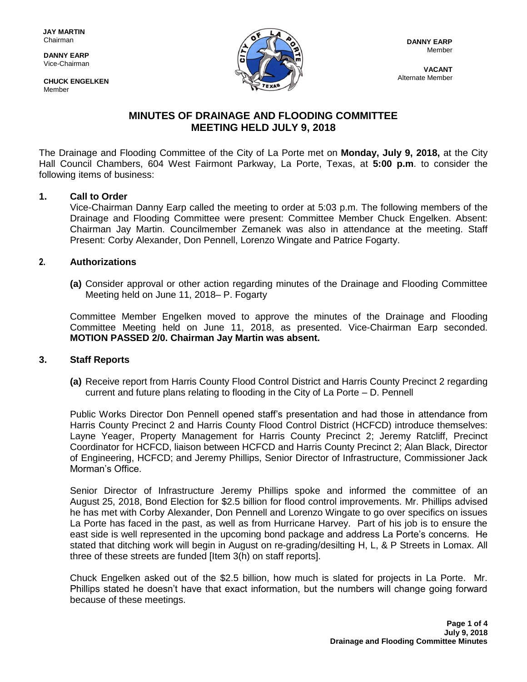**DANNY EARP** Vice-Chairman

**CHUCK ENGELKEN** Member



**VACANT** Alternate Member

# **MINUTES OF DRAINAGE AND FLOODING COMMITTEE MEETING HELD JULY 9, 2018**

The Drainage and Flooding Committee of the City of La Porte met on **Monday, July 9, 2018,** at the City Hall Council Chambers, 604 West Fairmont Parkway, La Porte, Texas, at **5:00 p.m**. to consider the following items of business:

## **1. Call to Order**

Vice-Chairman Danny Earp called the meeting to order at 5:03 p.m. The following members of the Drainage and Flooding Committee were present: Committee Member Chuck Engelken. Absent: Chairman Jay Martin. Councilmember Zemanek was also in attendance at the meeting. Staff Present: Corby Alexander, Don Pennell, Lorenzo Wingate and Patrice Fogarty.

## **2. Authorizations**

**(a)** Consider approval or other action regarding minutes of the Drainage and Flooding Committee Meeting held on June 11, 2018– P. Fogarty

Committee Member Engelken moved to approve the minutes of the Drainage and Flooding Committee Meeting held on June 11, 2018, as presented. Vice-Chairman Earp seconded. **MOTION PASSED 2/0. Chairman Jay Martin was absent.**

#### **3. Staff Reports**

**(a)** Receive report from Harris County Flood Control District and Harris County Precinct 2 regarding current and future plans relating to flooding in the City of La Porte – D. Pennell

Public Works Director Don Pennell opened staff's presentation and had those in attendance from Harris County Precinct 2 and Harris County Flood Control District (HCFCD) introduce themselves: Layne Yeager, Property Management for Harris County Precinct 2; Jeremy Ratcliff, Precinct Coordinator for HCFCD, liaison between HCFCD and Harris County Precinct 2; Alan Black, Director of Engineering, HCFCD; and Jeremy Phillips, Senior Director of Infrastructure, Commissioner Jack Morman's Office.

Senior Director of Infrastructure Jeremy Phillips spoke and informed the committee of an August 25, 2018, Bond Election for \$2.5 billion for flood control improvements. Mr. Phillips advised he has met with Corby Alexander, Don Pennell and Lorenzo Wingate to go over specifics on issues La Porte has faced in the past, as well as from Hurricane Harvey. Part of his job is to ensure the east side is well represented in the upcoming bond package and address La Porte's concerns. He stated that ditching work will begin in August on re-grading/desilting H, L, & P Streets in Lomax. All three of these streets are funded [Item 3(h) on staff reports].

Chuck Engelken asked out of the \$2.5 billion, how much is slated for projects in La Porte. Mr. Phillips stated he doesn't have that exact information, but the numbers will change going forward because of these meetings.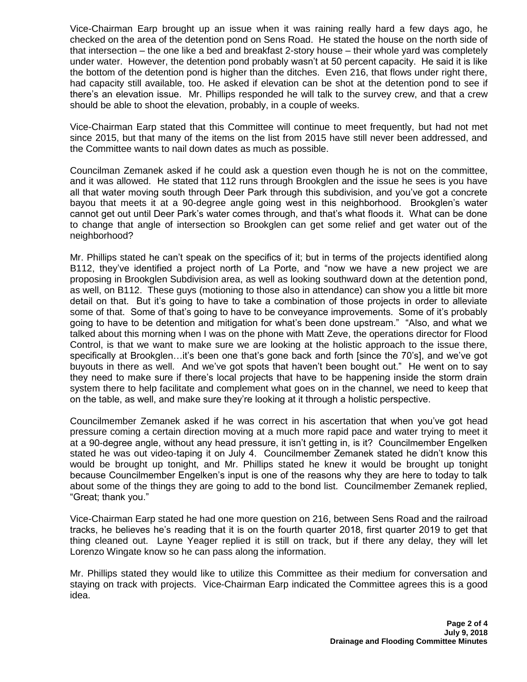Vice-Chairman Earp brought up an issue when it was raining really hard a few days ago, he checked on the area of the detention pond on Sens Road. He stated the house on the north side of that intersection – the one like a bed and breakfast 2-story house – their whole yard was completely under water. However, the detention pond probably wasn't at 50 percent capacity. He said it is like the bottom of the detention pond is higher than the ditches. Even 216, that flows under right there, had capacity still available, too. He asked if elevation can be shot at the detention pond to see if there's an elevation issue. Mr. Phillips responded he will talk to the survey crew, and that a crew should be able to shoot the elevation, probably, in a couple of weeks.

Vice-Chairman Earp stated that this Committee will continue to meet frequently, but had not met since 2015, but that many of the items on the list from 2015 have still never been addressed, and the Committee wants to nail down dates as much as possible.

Councilman Zemanek asked if he could ask a question even though he is not on the committee, and it was allowed. He stated that 112 runs through Brookglen and the issue he sees is you have all that water moving south through Deer Park through this subdivision, and you've got a concrete bayou that meets it at a 90-degree angle going west in this neighborhood. Brookglen's water cannot get out until Deer Park's water comes through, and that's what floods it. What can be done to change that angle of intersection so Brookglen can get some relief and get water out of the neighborhood?

Mr. Phillips stated he can't speak on the specifics of it; but in terms of the projects identified along B112, they've identified a project north of La Porte, and "now we have a new project we are proposing in Brookglen Subdivision area, as well as looking southward down at the detention pond, as well, on B112. These guys (motioning to those also in attendance) can show you a little bit more detail on that. But it's going to have to take a combination of those projects in order to alleviate some of that. Some of that's going to have to be conveyance improvements. Some of it's probably going to have to be detention and mitigation for what's been done upstream." "Also, and what we talked about this morning when I was on the phone with Matt Zeve, the operations director for Flood Control, is that we want to make sure we are looking at the holistic approach to the issue there, specifically at Brookglen…it's been one that's gone back and forth [since the 70's], and we've got buyouts in there as well. And we've got spots that haven't been bought out." He went on to say they need to make sure if there's local projects that have to be happening inside the storm drain system there to help facilitate and complement what goes on in the channel, we need to keep that on the table, as well, and make sure they're looking at it through a holistic perspective.

Councilmember Zemanek asked if he was correct in his ascertation that when you've got head pressure coming a certain direction moving at a much more rapid pace and water trying to meet it at a 90-degree angle, without any head pressure, it isn't getting in, is it? Councilmember Engelken stated he was out video-taping it on July 4. Councilmember Zemanek stated he didn't know this would be brought up tonight, and Mr. Phillips stated he knew it would be brought up tonight because Councilmember Engelken's input is one of the reasons why they are here to today to talk about some of the things they are going to add to the bond list. Councilmember Zemanek replied, "Great; thank you."

Vice-Chairman Earp stated he had one more question on 216, between Sens Road and the railroad tracks, he believes he's reading that it is on the fourth quarter 2018, first quarter 2019 to get that thing cleaned out. Layne Yeager replied it is still on track, but if there any delay, they will let Lorenzo Wingate know so he can pass along the information.

Mr. Phillips stated they would like to utilize this Committee as their medium for conversation and staying on track with projects. Vice-Chairman Earp indicated the Committee agrees this is a good idea.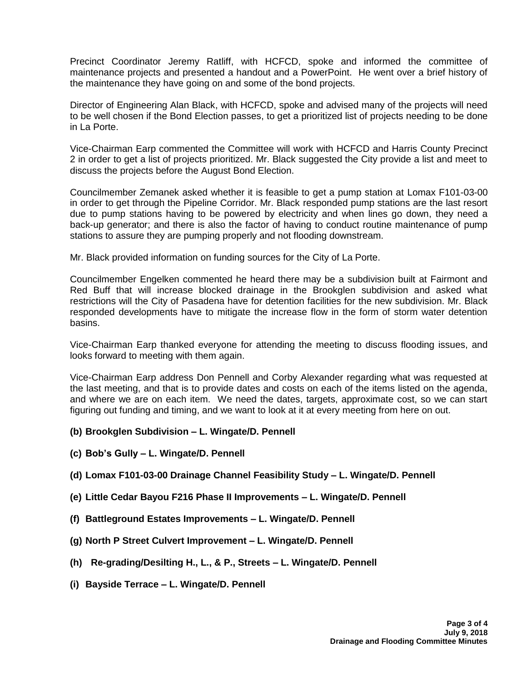Precinct Coordinator Jeremy Ratliff, with HCFCD, spoke and informed the committee of maintenance projects and presented a handout and a PowerPoint. He went over a brief history of the maintenance they have going on and some of the bond projects.

Director of Engineering Alan Black, with HCFCD, spoke and advised many of the projects will need to be well chosen if the Bond Election passes, to get a prioritized list of projects needing to be done in La Porte.

Vice-Chairman Earp commented the Committee will work with HCFCD and Harris County Precinct 2 in order to get a list of projects prioritized. Mr. Black suggested the City provide a list and meet to discuss the projects before the August Bond Election.

Councilmember Zemanek asked whether it is feasible to get a pump station at Lomax F101-03-00 in order to get through the Pipeline Corridor. Mr. Black responded pump stations are the last resort due to pump stations having to be powered by electricity and when lines go down, they need a back-up generator; and there is also the factor of having to conduct routine maintenance of pump stations to assure they are pumping properly and not flooding downstream.

Mr. Black provided information on funding sources for the City of La Porte.

Councilmember Engelken commented he heard there may be a subdivision built at Fairmont and Red Buff that will increase blocked drainage in the Brookglen subdivision and asked what restrictions will the City of Pasadena have for detention facilities for the new subdivision. Mr. Black responded developments have to mitigate the increase flow in the form of storm water detention basins.

Vice-Chairman Earp thanked everyone for attending the meeting to discuss flooding issues, and looks forward to meeting with them again.

Vice-Chairman Earp address Don Pennell and Corby Alexander regarding what was requested at the last meeting, and that is to provide dates and costs on each of the items listed on the agenda, and where we are on each item. We need the dates, targets, approximate cost, so we can start figuring out funding and timing, and we want to look at it at every meeting from here on out.

- **(b) Brookglen Subdivision – L. Wingate/D. Pennell**
- **(c) Bob's Gully – L. Wingate/D. Pennell**
- **(d) Lomax F101-03-00 Drainage Channel Feasibility Study – L. Wingate/D. Pennell**
- **(e) Little Cedar Bayou F216 Phase II Improvements – L. Wingate/D. Pennell**
- **(f) Battleground Estates Improvements – L. Wingate/D. Pennell**
- **(g) North P Street Culvert Improvement – L. Wingate/D. Pennell**
- **(h) Re-grading/Desilting H., L., & P., Streets – L. Wingate/D. Pennell**
- **(i) Bayside Terrace – L. Wingate/D. Pennell**